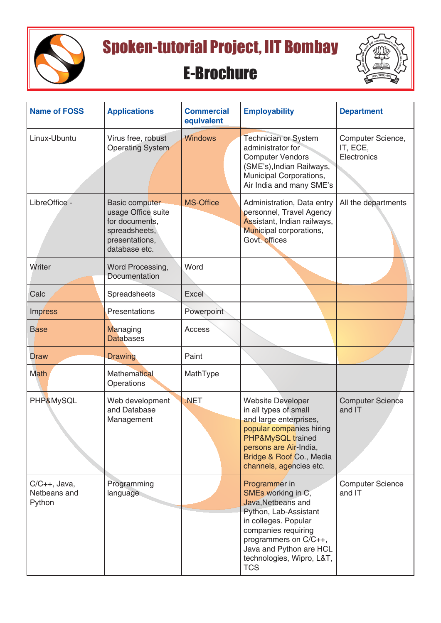

Spoken-tutorial Project, IIT Bombay

## E-Brochure



| <b>Name of FOSS</b>                          | <b>Applications</b>                                                                                               | <b>Commercial</b><br>equivalent | <b>Employability</b>                                                                                                                                                                                                             | <b>Department</b>                            |
|----------------------------------------------|-------------------------------------------------------------------------------------------------------------------|---------------------------------|----------------------------------------------------------------------------------------------------------------------------------------------------------------------------------------------------------------------------------|----------------------------------------------|
| Linux-Ubuntu                                 | Virus free, robust<br><b>Operating System</b>                                                                     | <b>Windows</b>                  | <b>Technician or System</b><br>administrator for<br><b>Computer Vendors</b><br>(SME's), Indian Railways,<br>Municipal Corporations,<br>Air India and many SME's                                                                  | Computer Science,<br>IT, ECE,<br>Electronics |
| LibreOffice -                                | <b>Basic computer</b><br>usage Office suite<br>for documents,<br>spreadsheets,<br>presentations,<br>database etc. | <b>MS-Office</b>                | Administration, Data entry<br>personnel, Travel Agency<br>Assistant, Indian railways,<br>Municipal corporations,<br>Govt. offices                                                                                                | All the departments                          |
| Writer                                       | Word Processing,<br>Documentation                                                                                 | Word                            |                                                                                                                                                                                                                                  |                                              |
| Calc                                         | Spreadsheets                                                                                                      | <b>Excel</b>                    |                                                                                                                                                                                                                                  |                                              |
| <b>Impress</b>                               | Presentations                                                                                                     | Powerpoint                      |                                                                                                                                                                                                                                  |                                              |
| <b>Base</b>                                  | Managing<br><b>Databases</b>                                                                                      | Access                          |                                                                                                                                                                                                                                  |                                              |
| <b>Draw</b>                                  | <b>Drawing</b>                                                                                                    | Paint                           |                                                                                                                                                                                                                                  |                                              |
| <b>Math</b>                                  | <b>Mathematical</b><br>Operations                                                                                 | MathType                        |                                                                                                                                                                                                                                  |                                              |
| PHP&MySQL                                    | Web development<br>and Database<br>Management                                                                     | .NET                            | <b>Website Developer</b><br>in all types of small<br>and large enterprises,<br>popular companies hiring<br>PHP&MySQL trained<br>persons are Air-India,<br>Bridge & Roof Co., Media<br>channels, agencies etc.                    | <b>Computer Science</b><br>and IT            |
| $C/C_{++}$ , Java,<br>Netbeans and<br>Python | Programming<br>language                                                                                           |                                 | Programmer in<br>SMEs working in C,<br>Java, Netbeans and<br>Python, Lab-Assistant<br>in colleges. Popular<br>companies requiring<br>programmers on C/C++,<br>Java and Python are HCL<br>technologies, Wipro, L&T,<br><b>TCS</b> | <b>Computer Science</b><br>and IT            |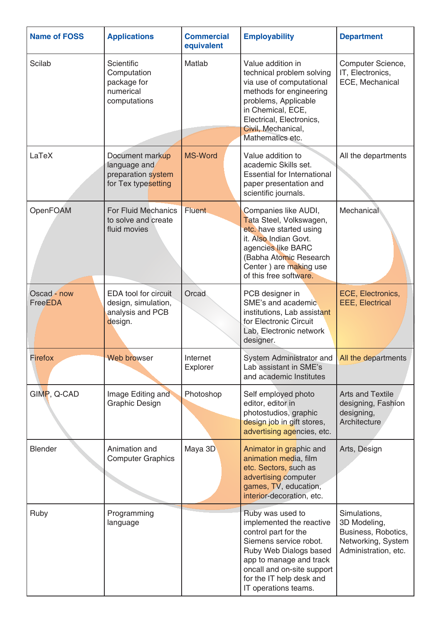| <b>Name of FOSS</b>    | <b>Applications</b>                                                          | <b>Commercial</b><br>equivalent | <b>Employability</b>                                                                                                                                                                                                                  | <b>Department</b>                                                                                 |
|------------------------|------------------------------------------------------------------------------|---------------------------------|---------------------------------------------------------------------------------------------------------------------------------------------------------------------------------------------------------------------------------------|---------------------------------------------------------------------------------------------------|
| <b>Scilab</b>          | <b>Scientific</b><br>Computation<br>package for<br>numerical<br>computations | Matlab                          | Value addition in<br>technical problem solving<br>via use of computational<br>methods for engineering<br>problems, Applicable<br>in Chemical, ECE,<br>Electrical, Electronics,<br>Civil, Mechanical,<br>Mathematics etc.              | Computer Science,<br>IT, Electronics,<br>ECE, Mechanical                                          |
| LaTeX                  | Document markup<br>language and<br>preparation system<br>for Tex typesetting | <b>MS-Word</b>                  | Value addition to<br>academic Skills set.<br><b>Essential for International</b><br>paper presentation and<br>scientific journals.                                                                                                     | All the departments                                                                               |
| OpenFOAM               | <b>For Fluid Mechanics</b><br>to solve and create<br>fluid movies            | <b>Fluent</b>                   | Companies like AUDI,<br>Tata Steel, Volkswagen,<br>etc. have started using<br>it. Also Indian Govt.<br>agencies like BARC<br>(Babha Atomic Research<br>Center) are making use<br>of this free software.                               | Mechanical                                                                                        |
| Oscad - now<br>FreeEDA | EDA tool for circuit<br>design, simulation,<br>analysis and PCB<br>design.   | Orcad                           | PCB designer in<br>SME's and academic<br>institutions, Lab assistant<br>for Electronic Circuit<br>Lab, Electronic network<br>designer.                                                                                                | ECE, Electronics,<br><b>EEE, Electrical</b>                                                       |
| <b>Firefox</b>         | <b>Web browser</b>                                                           | Internet<br>Explorer            | System Administrator and<br>Lab assistant in SME's<br>and academic Institutes                                                                                                                                                         | All the departments                                                                               |
| GIMP, Q-CAD            | Image Editing and<br><b>Graphic Design</b>                                   | Photoshop                       | Self employed photo<br>editor, editor in<br>photostudios, graphic<br>design job in gift stores,<br>advertising agencies, etc.                                                                                                         | <b>Arts and Textile</b><br>designing, Fashion<br>designing,<br>Architecture                       |
| <b>Blender</b>         | Animation and<br><b>Computer Graphics</b>                                    | Maya 3D                         | Animator in graphic and<br>animation media, film<br>etc. Sectors, such as<br>advertising computer<br>games, TV, education,<br>interior-decoration, etc.                                                                               | Arts, Design                                                                                      |
| Ruby                   | Programming<br>language                                                      |                                 | Ruby was used to<br>implemented the reactive<br>control part for the<br>Siemens service robot.<br>Ruby Web Dialogs based<br>app to manage and track<br>oncall and on-site support<br>for the IT help desk and<br>IT operations teams. | Simulations,<br>3D Modeling,<br>Business, Robotics,<br>Networking, System<br>Administration, etc. |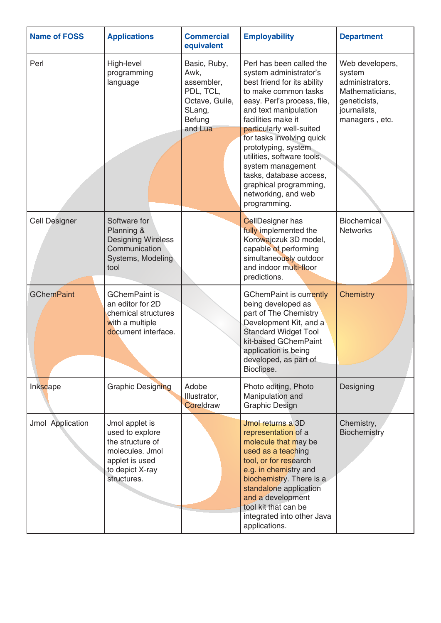| <b>Name of FOSS</b>  | <b>Applications</b>                                                                                                          | <b>Commercial</b><br>equivalent                                                                  | <b>Employability</b>                                                                                                                                                                                                                                                                                                                                                                                                   | <b>Department</b>                                                                                                 |
|----------------------|------------------------------------------------------------------------------------------------------------------------------|--------------------------------------------------------------------------------------------------|------------------------------------------------------------------------------------------------------------------------------------------------------------------------------------------------------------------------------------------------------------------------------------------------------------------------------------------------------------------------------------------------------------------------|-------------------------------------------------------------------------------------------------------------------|
| Perl                 | High-level<br>programming<br>language                                                                                        | Basic, Ruby,<br>Awk,<br>assembler,<br>PDL, TCL,<br>Octave, Guile,<br>SLang,<br>Befung<br>and Lua | Perl has been called the<br>system administrator's<br>best friend for its ability<br>to make common tasks<br>easy. Perl's process, file,<br>and text manipulation<br>facilities make it<br>particularly well-suited<br>for tasks involving quick<br>prototyping, system<br>utilities, software tools,<br>system management<br>tasks, database access,<br>graphical programming,<br>networking, and web<br>programming. | Web developers,<br>system<br>administrators.<br>Mathematicians,<br>geneticists,<br>journalists,<br>managers, etc. |
| <b>Cell Designer</b> | Software for<br>Planning &<br><b>Designing Wireless</b><br>Communication<br>Systems, Modeling<br>tool                        |                                                                                                  | <b>CellDesigner has</b><br>fully implemented the<br>Korowajczuk 3D model,<br>capable of performing<br>simultaneously outdoor<br>and indoor multi-floor<br>predictions.                                                                                                                                                                                                                                                 | <b>Biochemical</b><br><b>Networks</b>                                                                             |
| <b>GChemPaint</b>    | <b>GChemPaint is</b><br>an editor for 2D<br>chemical structures<br>with a multiple<br>document interface.                    |                                                                                                  | <b>GChemPaint is currently</b><br>being developed as<br>part of The Chemistry<br>Development Kit, and a<br><b>Standard Widget Tool</b><br>kit-based GChemPaint<br>application is being<br>developed, as part of<br>Bioclipse.                                                                                                                                                                                          | <b>Chemistry</b>                                                                                                  |
| Inkscape             | <b>Graphic Designing</b>                                                                                                     | Adobe<br>Illustrator,<br>Coreldraw                                                               | Photo editing, Photo<br>Manipulation and<br><b>Graphic Design</b>                                                                                                                                                                                                                                                                                                                                                      | Designing                                                                                                         |
| Jmol Application     | Jmol applet is<br>used to explore<br>the structure of<br>molecules. Jmol<br>applet is used<br>to depict X-ray<br>structures. |                                                                                                  | Jmol returns a 3D<br>representation of a<br>molecule that may be<br>used as a teaching<br>tool, or for research<br>e.g. in chemistry and<br>biochemistry. There is a<br>standalone application<br>and a development<br>tool kit that can be<br>integrated into other Java<br>applications.                                                                                                                             | Chemistry,<br><b>Biochemistry</b>                                                                                 |